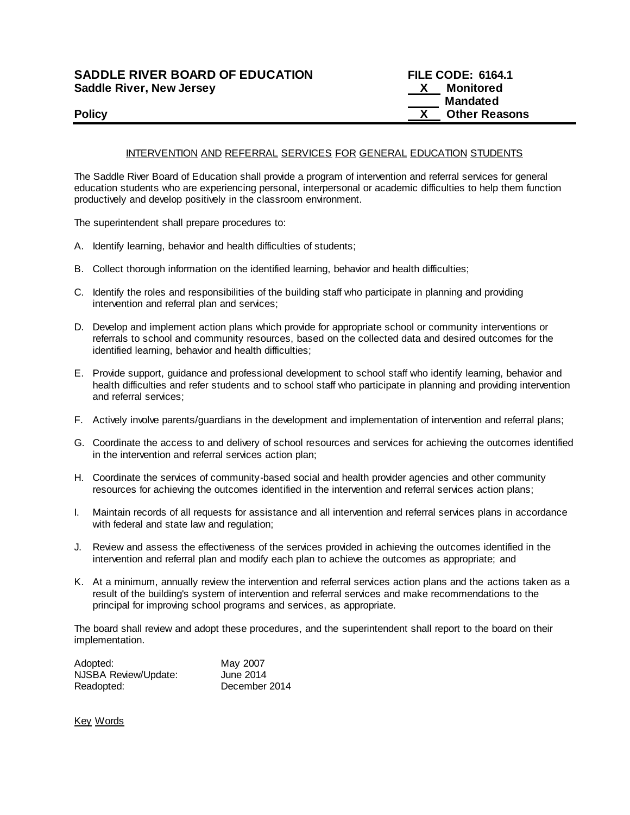## **SADDLE RIVER BOARD OF EDUCATION Saddle River, New Jersey**

| <b>SADDLE RIVER BOARD OF EDUCATION</b> | <b>FILE CODE: 6164.1</b> |                      |
|----------------------------------------|--------------------------|----------------------|
| Saddle River, New Jersey               |                          | Monitored            |
|                                        |                          | Mandated             |
| <b>Policy</b>                          |                          | <b>Other Reasons</b> |

## INTERVENTION AND REFERRAL SERVICES FOR GENERAL EDUCATION STUDENTS

The Saddle River Board of Education shall provide a program of intervention and referral services for general education students who are experiencing personal, interpersonal or academic difficulties to help them function productively and develop positively in the classroom environment.

The superintendent shall prepare procedures to:

- A. Identify learning, behavior and health difficulties of students;
- B. Collect thorough information on the identified learning, behavior and health difficulties;
- C. Identify the roles and responsibilities of the building staff who participate in planning and providing intervention and referral plan and services;
- D. Develop and implement action plans which provide for appropriate school or community interventions or referrals to school and community resources, based on the collected data and desired outcomes for the identified learning, behavior and health difficulties;
- E. Provide support, guidance and professional development to school staff who identify learning, behavior and health difficulties and refer students and to school staff who participate in planning and providing intervention and referral services;
- F. Actively involve parents/guardians in the development and implementation of intervention and referral plans;
- G. Coordinate the access to and delivery of school resources and services for achieving the outcomes identified in the intervention and referral services action plan;
- H. Coordinate the services of community-based social and health provider agencies and other community resources for achieving the outcomes identified in the intervention and referral services action plans;
- I. Maintain records of all requests for assistance and all intervention and referral services plans in accordance with federal and state law and regulation;
- J. Review and assess the effectiveness of the services provided in achieving the outcomes identified in the intervention and referral plan and modify each plan to achieve the outcomes as appropriate; and
- K. At a minimum, annually review the intervention and referral services action plans and the actions taken as a result of the building's system of intervention and referral services and make recommendations to the principal for improving school programs and services, as appropriate.

The board shall review and adopt these procedures, and the superintendent shall report to the board on their implementation.

| Adopted:             | May 2007      |
|----------------------|---------------|
| NJSBA Review/Update: | June 2014     |
| Readopted:           | December 2014 |

Key Words